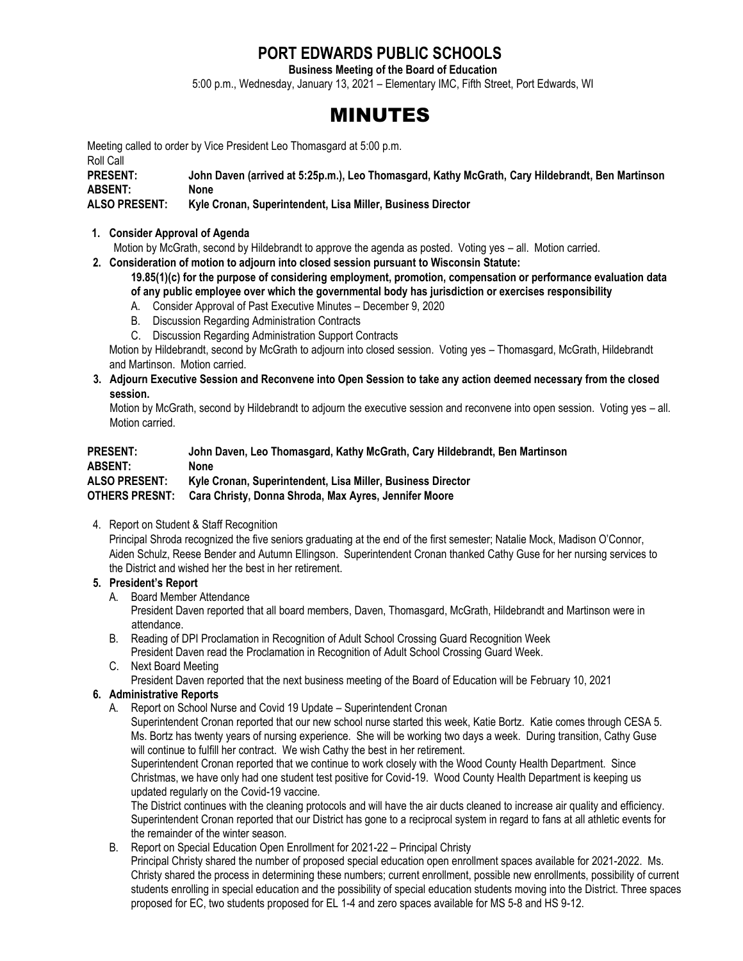# **PORT EDWARDS PUBLIC SCHOOLS**

**Business Meeting of the Board of Education**

5:00 p.m., Wednesday, January 13, 2021 – Elementary IMC, Fifth Street, Port Edwards, WI

# MINUTES

Meeting called to order by Vice President Leo Thomasgard at 5:00 p.m.

Roll Call

**PRESENT: John Daven (arrived at 5:25p.m.), Leo Thomasgard, Kathy McGrath, Cary Hildebrandt, Ben Martinson ABSENT: None**

# **ALSO PRESENT: Kyle Cronan, Superintendent, Lisa Miller, Business Director**

#### **1. Consider Approval of Agenda**

Motion by McGrath, second by Hildebrandt to approve the agenda as posted. Voting yes – all. Motion carried.

**2. Consideration of motion to adjourn into closed session pursuant to Wisconsin Statute:**

**19.85(1)(c) for the purpose of considering employment, promotion, compensation or performance evaluation data of any public employee over which the governmental body has jurisdiction or exercises responsibility**

- A. Consider Approval of Past Executive Minutes December 9, 2020
- B. Discussion Regarding Administration Contracts
- C. Discussion Regarding Administration Support Contracts

Motion by Hildebrandt, second by McGrath to adjourn into closed session. Voting yes – Thomasgard, McGrath, Hildebrandt and Martinson. Motion carried.

**3. Adjourn Executive Session and Reconvene into Open Session to take any action deemed necessary from the closed session.** 

 Motion by McGrath, second by Hildebrandt to adjourn the executive session and reconvene into open session. Voting yes – all. Motion carried.

| <b>PRESENT:</b>       | John Daven, Leo Thomasgard, Kathy McGrath, Cary Hildebrandt, Ben Martinson |
|-----------------------|----------------------------------------------------------------------------|
| <b>ABSENT:</b>        | None                                                                       |
| <b>ALSO PRESENT:</b>  | Kyle Cronan, Superintendent, Lisa Miller, Business Director                |
| <b>OTHERS PRESNT:</b> | Cara Christy, Donna Shroda, Max Ayres, Jennifer Moore                      |

4. Report on Student & Staff Recognition

Principal Shroda recognized the five seniors graduating at the end of the first semester; Natalie Mock, Madison O'Connor, Aiden Schulz, Reese Bender and Autumn Ellingson. Superintendent Cronan thanked Cathy Guse for her nursing services to the District and wished her the best in her retirement.

# **5. President's Report**

A. Board Member Attendance

President Daven reported that all board members, Daven, Thomasgard, McGrath, Hildebrandt and Martinson were in attendance.

- B. Reading of DPI Proclamation in Recognition of Adult School Crossing Guard Recognition Week President Daven read the Proclamation in Recognition of Adult School Crossing Guard Week.
- C. Next Board Meeting

President Daven reported that the next business meeting of the Board of Education will be February 10, 2021

# **6. Administrative Reports**

A. Report on School Nurse and Covid 19 Update – Superintendent Cronan

Superintendent Cronan reported that our new school nurse started this week, Katie Bortz. Katie comes through CESA 5. Ms. Bortz has twenty years of nursing experience. She will be working two days a week. During transition, Cathy Guse will continue to fulfill her contract. We wish Cathy the best in her retirement.

Superintendent Cronan reported that we continue to work closely with the Wood County Health Department. Since Christmas, we have only had one student test positive for Covid-19. Wood County Health Department is keeping us updated regularly on the Covid-19 vaccine.

The District continues with the cleaning protocols and will have the air ducts cleaned to increase air quality and efficiency. Superintendent Cronan reported that our District has gone to a reciprocal system in regard to fans at all athletic events for the remainder of the winter season.

B. Report on Special Education Open Enrollment for 2021-22 – Principal Christy

Principal Christy shared the number of proposed special education open enrollment spaces available for 2021-2022. Ms. Christy shared the process in determining these numbers; current enrollment, possible new enrollments, possibility of current students enrolling in special education and the possibility of special education students moving into the District. Three spaces proposed for EC, two students proposed for EL 1-4 and zero spaces available for MS 5-8 and HS 9-12.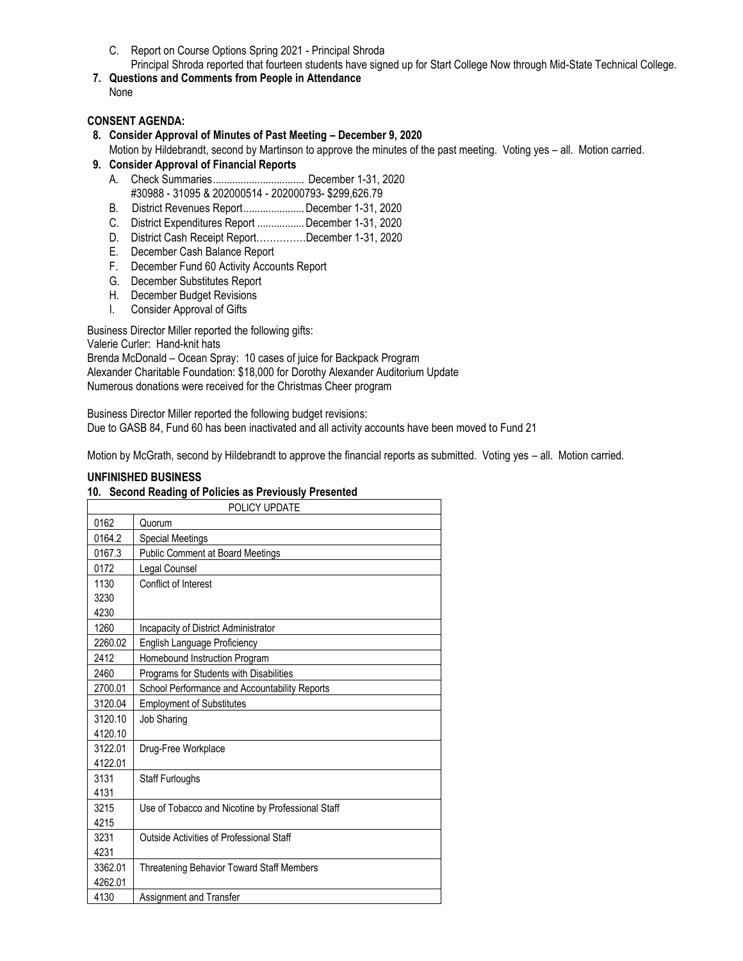C. Report on Course Options Spring 2021 - Principal Shroda

Principal Shroda reported that fourteen students have signed up for Start College Now through Mid-State Technical College.

**7. Questions and Comments from People in Attendance** None

# **CONSENT AGENDA:**

#### **8. Consider Approval of Minutes of Past Meeting – December 9, 2020**

Motion by Hildebrandt, second by Martinson to approve the minutes of the past meeting. Voting yes – all. Motion carried. **9. Consider Approval of Financial Reports**

- A. Check Summaries................................. December 1-31, 2020
- #30988 31095 & 202000514 202000793- \$299,626.79 B. District Revenues Report......................December 1-31, 2020
- C. District Expenditures Report .................December 1-31, 2020
- D. District Cash Receipt Report……………December 1-31, 2020
- E. December Cash Balance Report
- F. December Fund 60 Activity Accounts Report
- G. December Substitutes Report
- H. December Budget Revisions
- I. Consider Approval of Gifts

Business Director Miller reported the following gifts:

Valerie Curler: Hand-knit hats

Brenda McDonald – Ocean Spray: 10 cases of juice for Backpack Program Alexander Charitable Foundation: \$18,000 for Dorothy Alexander Auditorium Update Numerous donations were received for the Christmas Cheer program

Business Director Miller reported the following budget revisions: Due to GASB 84, Fund 60 has been inactivated and all activity accounts have been moved to Fund 21

Motion by McGrath, second by Hildebrandt to approve the financial reports as submitted. Voting yes – all. Motion carried.

#### **UNFINISHED BUSINESS**

#### **10. Second Reading of Policies as Previously Presented**

|         | POLICY UPDATE                                     |
|---------|---------------------------------------------------|
| 0162    | Quorum                                            |
| 0164.2  | <b>Special Meetings</b>                           |
| 0167.3  | <b>Public Comment at Board Meetings</b>           |
| 0172    | Legal Counsel                                     |
| 1130    | Conflict of Interest                              |
| 3230    |                                                   |
| 4230    |                                                   |
| 1260    | Incapacity of District Administrator              |
| 2260.02 | English Language Proficiency                      |
| 2412    | Homebound Instruction Program                     |
| 2460    | Programs for Students with Disabilities           |
| 2700.01 | School Performance and Accountability Reports     |
| 3120.04 | <b>Employment of Substitutes</b>                  |
| 3120.10 | <b>Job Sharing</b>                                |
| 4120.10 |                                                   |
| 3122.01 | Drug-Free Workplace                               |
| 4122.01 |                                                   |
| 3131    | Staff Furloughs                                   |
| 4131    |                                                   |
| 3215    | Use of Tobacco and Nicotine by Professional Staff |
| 4215    |                                                   |
| 3231    | Outside Activities of Professional Staff          |
| 4231    |                                                   |
| 3362.01 | <b>Threatening Behavior Toward Staff Members</b>  |
| 4262.01 |                                                   |
| 4130    | Assignment and Transfer                           |